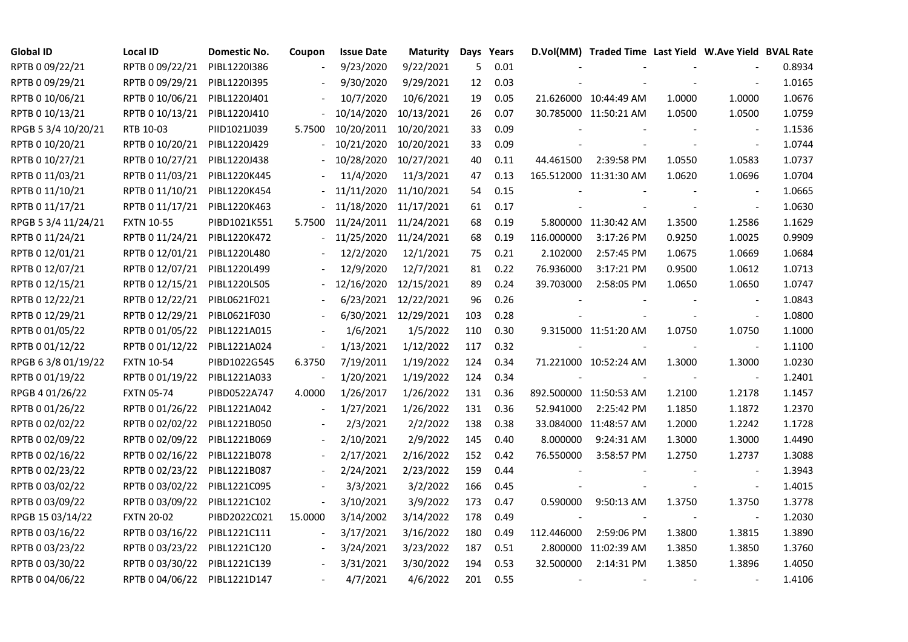| <b>Global ID</b>    | <b>Local ID</b>   | Domestic No. | Coupon         | <b>Issue Date</b> | <b>Maturity</b>      |     | Days Years |            | D.Vol(MM) Traded Time Last Yield W.Ave Yield BVAL Rate |        |                          |        |
|---------------------|-------------------|--------------|----------------|-------------------|----------------------|-----|------------|------------|--------------------------------------------------------|--------|--------------------------|--------|
| RPTB 0 09/22/21     | RPTB 0 09/22/21   | PIBL1220I386 |                | 9/23/2020         | 9/22/2021            | 5   | 0.01       |            |                                                        |        |                          | 0.8934 |
| RPTB 0 09/29/21     | RPTB 0 09/29/21   | PIBL1220I395 |                | 9/30/2020         | 9/29/2021            | 12  | 0.03       |            |                                                        |        |                          | 1.0165 |
| RPTB 0 10/06/21     | RPTB 0 10/06/21   | PIBL1220J401 |                | 10/7/2020         | 10/6/2021            | 19  | 0.05       |            | 21.626000 10:44:49 AM                                  | 1.0000 | 1.0000                   | 1.0676 |
| RPTB 0 10/13/21     | RPTB 0 10/13/21   | PIBL1220J410 |                | 10/14/2020        | 10/13/2021           | 26  | 0.07       |            | 30.785000 11:50:21 AM                                  | 1.0500 | 1.0500                   | 1.0759 |
| RPGB 5 3/4 10/20/21 | RTB 10-03         | PIID1021J039 | 5.7500         | 10/20/2011        | 10/20/2021           | 33  | 0.09       |            |                                                        |        | $\overline{\phantom{a}}$ | 1.1536 |
| RPTB 0 10/20/21     | RPTB 0 10/20/21   | PIBL1220J429 |                | 10/21/2020        | 10/20/2021           | 33  | 0.09       |            |                                                        |        |                          | 1.0744 |
| RPTB 0 10/27/21     | RPTB 0 10/27/21   | PIBL1220J438 |                | 10/28/2020        | 10/27/2021           | 40  | 0.11       | 44.461500  | 2:39:58 PM                                             | 1.0550 | 1.0583                   | 1.0737 |
| RPTB 0 11/03/21     | RPTB 0 11/03/21   | PIBL1220K445 |                | 11/4/2020         | 11/3/2021            | 47  | 0.13       |            | 165.512000 11:31:30 AM                                 | 1.0620 | 1.0696                   | 1.0704 |
| RPTB 0 11/10/21     | RPTB 0 11/10/21   | PIBL1220K454 |                | 11/11/2020        | 11/10/2021           | 54  | 0.15       |            |                                                        |        |                          | 1.0665 |
| RPTB 0 11/17/21     | RPTB 0 11/17/21   | PIBL1220K463 |                | 11/18/2020        | 11/17/2021           | 61  | 0.17       |            |                                                        |        | $\overline{\phantom{a}}$ | 1.0630 |
| RPGB 5 3/4 11/24/21 | <b>FXTN 10-55</b> | PIBD1021K551 | 5.7500         | 11/24/2011        | 11/24/2021           | 68  | 0.19       |            | 5.800000 11:30:42 AM                                   | 1.3500 | 1.2586                   | 1.1629 |
| RPTB 0 11/24/21     | RPTB 0 11/24/21   | PIBL1220K472 |                | 11/25/2020        | 11/24/2021           | 68  | 0.19       | 116.000000 | 3:17:26 PM                                             | 0.9250 | 1.0025                   | 0.9909 |
| RPTB 0 12/01/21     | RPTB 0 12/01/21   | PIBL1220L480 |                | 12/2/2020         | 12/1/2021            | 75  | 0.21       | 2.102000   | 2:57:45 PM                                             | 1.0675 | 1.0669                   | 1.0684 |
| RPTB 0 12/07/21     | RPTB 0 12/07/21   | PIBL1220L499 |                | 12/9/2020         | 12/7/2021            | 81  | 0.22       | 76.936000  | 3:17:21 PM                                             | 0.9500 | 1.0612                   | 1.0713 |
| RPTB 0 12/15/21     | RPTB 0 12/15/21   | PIBL1220L505 |                | 12/16/2020        | 12/15/2021           | 89  | 0.24       | 39.703000  | 2:58:05 PM                                             | 1.0650 | 1.0650                   | 1.0747 |
| RPTB 0 12/22/21     | RPTB 0 12/22/21   | PIBL0621F021 |                | 6/23/2021         | 12/22/2021           | 96  | 0.26       |            |                                                        |        |                          | 1.0843 |
| RPTB 0 12/29/21     | RPTB 0 12/29/21   | PIBL0621F030 |                |                   | 6/30/2021 12/29/2021 | 103 | 0.28       |            |                                                        |        | $\overline{\phantom{a}}$ | 1.0800 |
| RPTB 0 01/05/22     | RPTB 0 01/05/22   | PIBL1221A015 |                | 1/6/2021          | 1/5/2022             | 110 | 0.30       |            | 9.315000 11:51:20 AM                                   | 1.0750 | 1.0750                   | 1.1000 |
| RPTB 0 01/12/22     | RPTB 0 01/12/22   | PIBL1221A024 | $\blacksquare$ | 1/13/2021         | 1/12/2022            | 117 | 0.32       |            |                                                        |        |                          | 1.1100 |
| RPGB 63/8 01/19/22  | <b>FXTN 10-54</b> | PIBD1022G545 | 6.3750         | 7/19/2011         | 1/19/2022            | 124 | 0.34       |            | 71.221000 10:52:24 AM                                  | 1.3000 | 1.3000                   | 1.0230 |
| RPTB 0 01/19/22     | RPTB 0 01/19/22   | PIBL1221A033 | $\overline{a}$ | 1/20/2021         | 1/19/2022            | 124 | 0.34       |            |                                                        |        | $\overline{\phantom{a}}$ | 1.2401 |
| RPGB 4 01/26/22     | <b>FXTN 05-74</b> | PIBD0522A747 | 4.0000         | 1/26/2017         | 1/26/2022            | 131 | 0.36       |            | 892.500000 11:50:53 AM                                 | 1.2100 | 1.2178                   | 1.1457 |
| RPTB 0 01/26/22     | RPTB 0 01/26/22   | PIBL1221A042 |                | 1/27/2021         | 1/26/2022            | 131 | 0.36       | 52.941000  | 2:25:42 PM                                             | 1.1850 | 1.1872                   | 1.2370 |
| RPTB 0 02/02/22     | RPTB 0 02/02/22   | PIBL1221B050 |                | 2/3/2021          | 2/2/2022             | 138 | 0.38       |            | 33.084000 11:48:57 AM                                  | 1.2000 | 1.2242                   | 1.1728 |
| RPTB 0 02/09/22     | RPTB 0 02/09/22   | PIBL1221B069 | $\blacksquare$ | 2/10/2021         | 2/9/2022             | 145 | 0.40       | 8.000000   | 9:24:31 AM                                             | 1.3000 | 1.3000                   | 1.4490 |
| RPTB 0 02/16/22     | RPTB 0 02/16/22   | PIBL1221B078 |                | 2/17/2021         | 2/16/2022            | 152 | 0.42       | 76.550000  | 3:58:57 PM                                             | 1.2750 | 1.2737                   | 1.3088 |
| RPTB 0 02/23/22     | RPTB 0 02/23/22   | PIBL1221B087 |                | 2/24/2021         | 2/23/2022            | 159 | 0.44       |            |                                                        |        |                          | 1.3943 |
| RPTB 0 03/02/22     | RPTB 0 03/02/22   | PIBL1221C095 |                | 3/3/2021          | 3/2/2022             | 166 | 0.45       |            |                                                        |        | $\sim$                   | 1.4015 |
| RPTB 0 03/09/22     | RPTB 0 03/09/22   | PIBL1221C102 | $\blacksquare$ | 3/10/2021         | 3/9/2022             | 173 | 0.47       | 0.590000   | 9:50:13 AM                                             | 1.3750 | 1.3750                   | 1.3778 |
| RPGB 15 03/14/22    | <b>FXTN 20-02</b> | PIBD2022C021 | 15.0000        | 3/14/2002         | 3/14/2022            | 178 | 0.49       |            |                                                        |        |                          | 1.2030 |
| RPTB 0 03/16/22     | RPTB 0 03/16/22   | PIBL1221C111 |                | 3/17/2021         | 3/16/2022            | 180 | 0.49       | 112.446000 | 2:59:06 PM                                             | 1.3800 | 1.3815                   | 1.3890 |
| RPTB 0 03/23/22     | RPTB 0 03/23/22   | PIBL1221C120 |                | 3/24/2021         | 3/23/2022            | 187 | 0.51       |            | 2.800000 11:02:39 AM                                   | 1.3850 | 1.3850                   | 1.3760 |
| RPTB 0 03/30/22     | RPTB 0 03/30/22   | PIBL1221C139 |                | 3/31/2021         | 3/30/2022            | 194 | 0.53       | 32.500000  | 2:14:31 PM                                             | 1.3850 | 1.3896                   | 1.4050 |
| RPTB 0 04/06/22     | RPTB 0 04/06/22   | PIBL1221D147 |                | 4/7/2021          | 4/6/2022             | 201 | 0.55       |            |                                                        |        |                          | 1.4106 |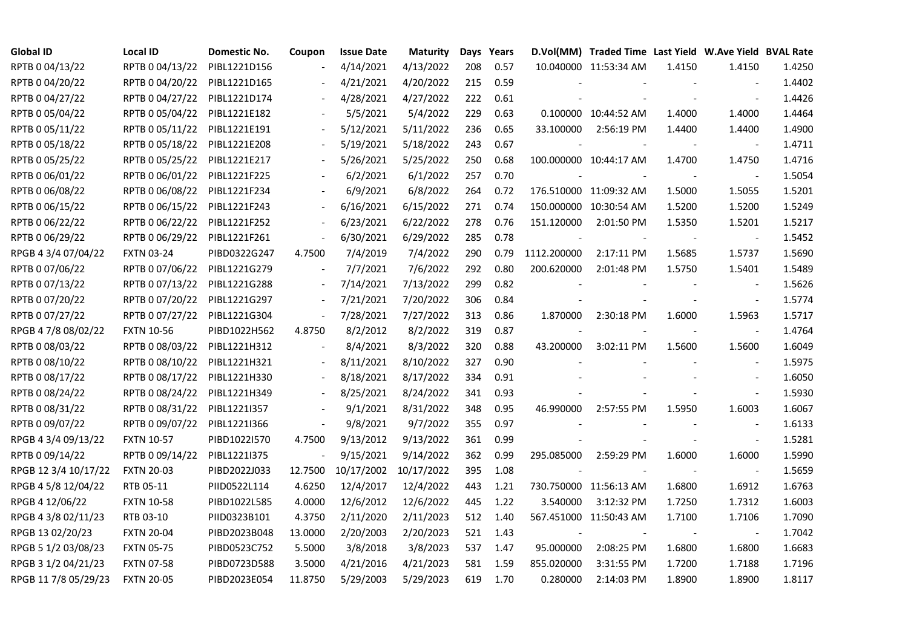| <b>Global ID</b>     | Local ID          | Domestic No. | Coupon                   | <b>Issue Date</b>     | Maturity  |     | Days Years |             | D.Vol(MM) Traded Time Last Yield W.Ave Yield BVAL Rate |        |                          |        |
|----------------------|-------------------|--------------|--------------------------|-----------------------|-----------|-----|------------|-------------|--------------------------------------------------------|--------|--------------------------|--------|
| RPTB 0 04/13/22      | RPTB 0 04/13/22   | PIBL1221D156 |                          | 4/14/2021             | 4/13/2022 | 208 | 0.57       |             | 10.040000 11:53:34 AM                                  | 1.4150 | 1.4150                   | 1.4250 |
| RPTB 0 04/20/22      | RPTB 0 04/20/22   | PIBL1221D165 |                          | 4/21/2021             | 4/20/2022 | 215 | 0.59       |             |                                                        |        |                          | 1.4402 |
| RPTB 0 04/27/22      | RPTB 0 04/27/22   | PIBL1221D174 |                          | 4/28/2021             | 4/27/2022 | 222 | 0.61       |             |                                                        |        | $\blacksquare$           | 1.4426 |
| RPTB 0 05/04/22      | RPTB 0 05/04/22   | PIBL1221E182 |                          | 5/5/2021              | 5/4/2022  | 229 | 0.63       |             | 0.100000 10:44:52 AM                                   | 1.4000 | 1.4000                   | 1.4464 |
| RPTB 0 05/11/22      | RPTB 0 05/11/22   | PIBL1221E191 |                          | 5/12/2021             | 5/11/2022 | 236 | 0.65       | 33.100000   | 2:56:19 PM                                             | 1.4400 | 1.4400                   | 1.4900 |
| RPTB 0 05/18/22      | RPTB 0 05/18/22   | PIBL1221E208 |                          | 5/19/2021             | 5/18/2022 | 243 | 0.67       |             |                                                        |        | $\blacksquare$           | 1.4711 |
| RPTB 0 05/25/22      | RPTB 0 05/25/22   | PIBL1221E217 |                          | 5/26/2021             | 5/25/2022 | 250 | 0.68       |             | 100.000000 10:44:17 AM                                 | 1.4700 | 1.4750                   | 1.4716 |
| RPTB 0 06/01/22      | RPTB 0 06/01/22   | PIBL1221F225 |                          | 6/2/2021              | 6/1/2022  | 257 | 0.70       |             |                                                        |        | $\sim$                   | 1.5054 |
| RPTB 0 06/08/22      | RPTB 0 06/08/22   | PIBL1221F234 |                          | 6/9/2021              | 6/8/2022  | 264 | 0.72       |             | 176.510000 11:09:32 AM                                 | 1.5000 | 1.5055                   | 1.5201 |
| RPTB 0 06/15/22      | RPTB 0 06/15/22   | PIBL1221F243 | $\overline{\phantom{a}}$ | 6/16/2021             | 6/15/2022 | 271 | 0.74       |             | 150.000000 10:30:54 AM                                 | 1.5200 | 1.5200                   | 1.5249 |
| RPTB 0 06/22/22      | RPTB 0 06/22/22   | PIBL1221F252 | $\overline{\phantom{a}}$ | 6/23/2021             | 6/22/2022 | 278 | 0.76       | 151.120000  | 2:01:50 PM                                             | 1.5350 | 1.5201                   | 1.5217 |
| RPTB 0 06/29/22      | RPTB 0 06/29/22   | PIBL1221F261 | $\overline{\phantom{a}}$ | 6/30/2021             | 6/29/2022 | 285 | 0.78       |             |                                                        |        | $\overline{\phantom{a}}$ | 1.5452 |
| RPGB 4 3/4 07/04/22  | <b>FXTN 03-24</b> | PIBD0322G247 | 4.7500                   | 7/4/2019              | 7/4/2022  | 290 | 0.79       | 1112.200000 | 2:17:11 PM                                             | 1.5685 | 1.5737                   | 1.5690 |
| RPTB 0 07/06/22      | RPTB 0 07/06/22   | PIBL1221G279 | $\blacksquare$           | 7/7/2021              | 7/6/2022  | 292 | 0.80       | 200.620000  | 2:01:48 PM                                             | 1.5750 | 1.5401                   | 1.5489 |
| RPTB 0 07/13/22      | RPTB 0 07/13/22   | PIBL1221G288 |                          | 7/14/2021             | 7/13/2022 | 299 | 0.82       |             |                                                        |        | $\blacksquare$           | 1.5626 |
| RPTB 0 07/20/22      | RPTB 0 07/20/22   | PIBL1221G297 |                          | 7/21/2021             | 7/20/2022 | 306 | 0.84       |             |                                                        |        | $\blacksquare$           | 1.5774 |
| RPTB 0 07/27/22      | RPTB 0 07/27/22   | PIBL1221G304 | $\blacksquare$           | 7/28/2021             | 7/27/2022 | 313 | 0.86       | 1.870000    | 2:30:18 PM                                             | 1.6000 | 1.5963                   | 1.5717 |
| RPGB 4 7/8 08/02/22  | <b>FXTN 10-56</b> | PIBD1022H562 | 4.8750                   | 8/2/2012              | 8/2/2022  | 319 | 0.87       |             |                                                        |        |                          | 1.4764 |
| RPTB 0 08/03/22      | RPTB 0 08/03/22   | PIBL1221H312 | $\overline{\phantom{a}}$ | 8/4/2021              | 8/3/2022  | 320 | 0.88       | 43.200000   | 3:02:11 PM                                             | 1.5600 | 1.5600                   | 1.6049 |
| RPTB 0 08/10/22      | RPTB 0 08/10/22   | PIBL1221H321 | $\overline{\phantom{a}}$ | 8/11/2021             | 8/10/2022 | 327 | 0.90       |             |                                                        |        | $\blacksquare$           | 1.5975 |
| RPTB 0 08/17/22      | RPTB 0 08/17/22   | PIBL1221H330 | $\blacksquare$           | 8/18/2021             | 8/17/2022 | 334 | 0.91       |             |                                                        |        | $\blacksquare$           | 1.6050 |
| RPTB 0 08/24/22      | RPTB 0 08/24/22   | PIBL1221H349 |                          | 8/25/2021             | 8/24/2022 | 341 | 0.93       |             |                                                        |        | $\blacksquare$           | 1.5930 |
| RPTB 0 08/31/22      | RPTB 0 08/31/22   | PIBL1221I357 |                          | 9/1/2021              | 8/31/2022 | 348 | 0.95       | 46.990000   | 2:57:55 PM                                             | 1.5950 | 1.6003                   | 1.6067 |
| RPTB 0 09/07/22      | RPTB 0 09/07/22   | PIBL1221I366 | $\blacksquare$           | 9/8/2021              | 9/7/2022  | 355 | 0.97       |             |                                                        |        | $\overline{\phantom{a}}$ | 1.6133 |
| RPGB 4 3/4 09/13/22  | <b>FXTN 10-57</b> | PIBD1022I570 | 4.7500                   | 9/13/2012             | 9/13/2022 | 361 | 0.99       |             |                                                        |        | $\blacksquare$           | 1.5281 |
| RPTB 0 09/14/22      | RPTB 0 09/14/22   | PIBL1221I375 |                          | 9/15/2021             | 9/14/2022 | 362 | 0.99       | 295.085000  | 2:59:29 PM                                             | 1.6000 | 1.6000                   | 1.5990 |
| RPGB 12 3/4 10/17/22 | <b>FXTN 20-03</b> | PIBD2022J033 | 12.7500                  | 10/17/2002 10/17/2022 |           | 395 | 1.08       |             |                                                        |        | $\sim$                   | 1.5659 |
| RPGB 4 5/8 12/04/22  | RTB 05-11         | PIID0522L114 | 4.6250                   | 12/4/2017             | 12/4/2022 | 443 | 1.21       |             | 730.750000 11:56:13 AM                                 | 1.6800 | 1.6912                   | 1.6763 |
| RPGB 4 12/06/22      | <b>FXTN 10-58</b> | PIBD1022L585 | 4.0000                   | 12/6/2012             | 12/6/2022 | 445 | 1.22       | 3.540000    | 3:12:32 PM                                             | 1.7250 | 1.7312                   | 1.6003 |
| RPGB 4 3/8 02/11/23  | RTB 03-10         | PIID0323B101 | 4.3750                   | 2/11/2020             | 2/11/2023 | 512 | 1.40       |             | 567.451000 11:50:43 AM                                 | 1.7100 | 1.7106                   | 1.7090 |
| RPGB 13 02/20/23     | <b>FXTN 20-04</b> | PIBD2023B048 | 13.0000                  | 2/20/2003             | 2/20/2023 | 521 | 1.43       |             |                                                        |        |                          | 1.7042 |
| RPGB 5 1/2 03/08/23  | <b>FXTN 05-75</b> | PIBD0523C752 | 5.5000                   | 3/8/2018              | 3/8/2023  | 537 | 1.47       | 95.000000   | 2:08:25 PM                                             | 1.6800 | 1.6800                   | 1.6683 |
| RPGB 3 1/2 04/21/23  | <b>FXTN 07-58</b> | PIBD0723D588 | 3.5000                   | 4/21/2016             | 4/21/2023 | 581 | 1.59       | 855.020000  | 3:31:55 PM                                             | 1.7200 | 1.7188                   | 1.7196 |
| RPGB 11 7/8 05/29/23 | <b>FXTN 20-05</b> | PIBD2023E054 | 11.8750                  | 5/29/2003             | 5/29/2023 | 619 | 1.70       | 0.280000    | 2:14:03 PM                                             | 1.8900 | 1.8900                   | 1.8117 |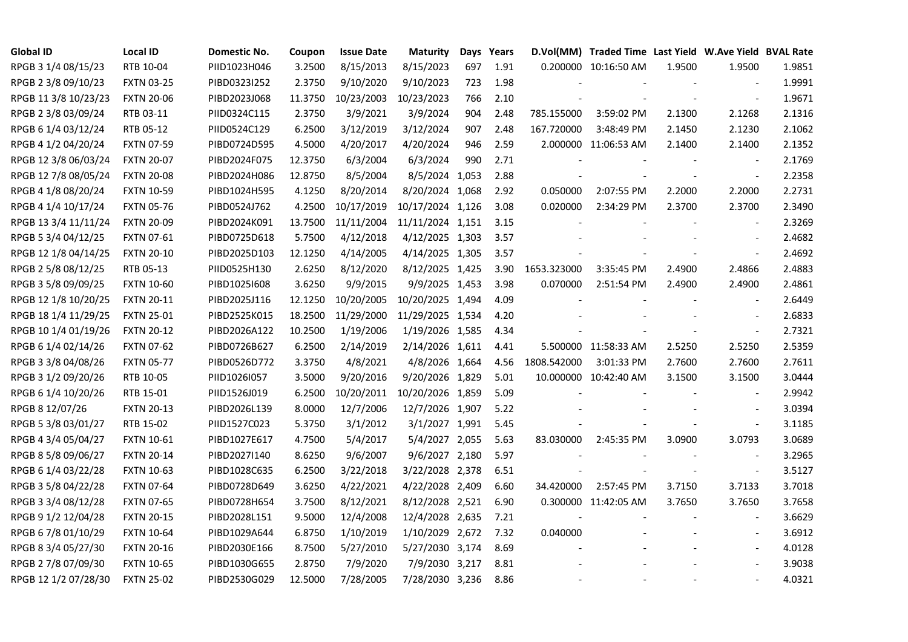| <b>Global ID</b>     | <b>Local ID</b>   | Domestic No. | Coupon  | <b>Issue Date</b> | <b>Maturity</b>  | Days | Years |                          | D.Vol(MM) Traded Time Last Yield W.Ave Yield BVAL Rate |        |                |        |
|----------------------|-------------------|--------------|---------|-------------------|------------------|------|-------|--------------------------|--------------------------------------------------------|--------|----------------|--------|
| RPGB 3 1/4 08/15/23  | RTB 10-04         | PIID1023H046 | 3.2500  | 8/15/2013         | 8/15/2023        | 697  | 1.91  |                          | 0.200000 10:16:50 AM                                   | 1.9500 | 1.9500         | 1.9851 |
| RPGB 2 3/8 09/10/23  | <b>FXTN 03-25</b> | PIBD0323I252 | 2.3750  | 9/10/2020         | 9/10/2023        | 723  | 1.98  |                          |                                                        |        |                | 1.9991 |
| RPGB 11 3/8 10/23/23 | <b>FXTN 20-06</b> | PIBD2023J068 | 11.3750 | 10/23/2003        | 10/23/2023       | 766  | 2.10  |                          |                                                        |        | $\blacksquare$ | 1.9671 |
| RPGB 2 3/8 03/09/24  | RTB 03-11         | PIID0324C115 | 2.3750  | 3/9/2021          | 3/9/2024         | 904  | 2.48  | 785.155000               | 3:59:02 PM                                             | 2.1300 | 2.1268         | 2.1316 |
| RPGB 6 1/4 03/12/24  | RTB 05-12         | PIID0524C129 | 6.2500  | 3/12/2019         | 3/12/2024        | 907  | 2.48  | 167.720000               | 3:48:49 PM                                             | 2.1450 | 2.1230         | 2.1062 |
| RPGB 4 1/2 04/20/24  | <b>FXTN 07-59</b> | PIBD0724D595 | 4.5000  | 4/20/2017         | 4/20/2024        | 946  | 2.59  |                          | 2.000000 11:06:53 AM                                   | 2.1400 | 2.1400         | 2.1352 |
| RPGB 12 3/8 06/03/24 | <b>FXTN 20-07</b> | PIBD2024F075 | 12.3750 | 6/3/2004          | 6/3/2024         | 990  | 2.71  |                          |                                                        |        | $\sim$         | 2.1769 |
| RPGB 12 7/8 08/05/24 | <b>FXTN 20-08</b> | PIBD2024H086 | 12.8750 | 8/5/2004          | 8/5/2024 1,053   |      | 2.88  |                          |                                                        |        | $\sim$         | 2.2358 |
| RPGB 4 1/8 08/20/24  | <b>FXTN 10-59</b> | PIBD1024H595 | 4.1250  | 8/20/2014         | 8/20/2024 1,068  |      | 2.92  | 0.050000                 | 2:07:55 PM                                             | 2.2000 | 2.2000         | 2.2731 |
| RPGB 4 1/4 10/17/24  | <b>FXTN 05-76</b> | PIBD0524J762 | 4.2500  | 10/17/2019        | 10/17/2024 1,126 |      | 3.08  | 0.020000                 | 2:34:29 PM                                             | 2.3700 | 2.3700         | 2.3490 |
| RPGB 13 3/4 11/11/24 | <b>FXTN 20-09</b> | PIBD2024K091 | 13.7500 | 11/11/2004        | 11/11/2024 1,151 |      | 3.15  | $\overline{\phantom{a}}$ |                                                        |        | $\blacksquare$ | 2.3269 |
| RPGB 5 3/4 04/12/25  | <b>FXTN 07-61</b> | PIBD0725D618 | 5.7500  | 4/12/2018         | 4/12/2025 1,303  |      | 3.57  |                          |                                                        |        | $\blacksquare$ | 2.4682 |
| RPGB 12 1/8 04/14/25 | <b>FXTN 20-10</b> | PIBD2025D103 | 12.1250 | 4/14/2005         | 4/14/2025 1,305  |      | 3.57  |                          |                                                        |        | $\blacksquare$ | 2.4692 |
| RPGB 2 5/8 08/12/25  | RTB 05-13         | PIID0525H130 | 2.6250  | 8/12/2020         | 8/12/2025 1,425  |      | 3.90  | 1653.323000              | 3:35:45 PM                                             | 2.4900 | 2.4866         | 2.4883 |
| RPGB 3 5/8 09/09/25  | <b>FXTN 10-60</b> | PIBD10251608 | 3.6250  | 9/9/2015          | 9/9/2025 1,453   |      | 3.98  | 0.070000                 | 2:51:54 PM                                             | 2.4900 | 2.4900         | 2.4861 |
| RPGB 12 1/8 10/20/25 | <b>FXTN 20-11</b> | PIBD2025J116 | 12.1250 | 10/20/2005        | 10/20/2025 1,494 |      | 4.09  |                          |                                                        |        |                | 2.6449 |
| RPGB 18 1/4 11/29/25 | <b>FXTN 25-01</b> | PIBD2525K015 | 18.2500 | 11/29/2000        | 11/29/2025 1,534 |      | 4.20  |                          |                                                        |        | $\blacksquare$ | 2.6833 |
| RPGB 10 1/4 01/19/26 | <b>FXTN 20-12</b> | PIBD2026A122 | 10.2500 | 1/19/2006         | 1/19/2026 1,585  |      | 4.34  |                          |                                                        |        | $\blacksquare$ | 2.7321 |
| RPGB 6 1/4 02/14/26  | <b>FXTN 07-62</b> | PIBD0726B627 | 6.2500  | 2/14/2019         | 2/14/2026 1,611  |      | 4.41  |                          | 5.500000 11:58:33 AM                                   | 2.5250 | 2.5250         | 2.5359 |
| RPGB 3 3/8 04/08/26  | <b>FXTN 05-77</b> | PIBD0526D772 | 3.3750  | 4/8/2021          | 4/8/2026 1,664   |      | 4.56  | 1808.542000              | 3:01:33 PM                                             | 2.7600 | 2.7600         | 2.7611 |
| RPGB 3 1/2 09/20/26  | RTB 10-05         | PIID1026I057 | 3.5000  | 9/20/2016         | 9/20/2026 1,829  |      | 5.01  |                          | 10.000000 10:42:40 AM                                  | 3.1500 | 3.1500         | 3.0444 |
| RPGB 6 1/4 10/20/26  | RTB 15-01         | PIID1526J019 | 6.2500  | 10/20/2011        | 10/20/2026 1,859 |      | 5.09  |                          |                                                        |        |                | 2.9942 |
| RPGB 8 12/07/26      | <b>FXTN 20-13</b> | PIBD2026L139 | 8.0000  | 12/7/2006         | 12/7/2026 1,907  |      | 5.22  |                          |                                                        |        |                | 3.0394 |
| RPGB 5 3/8 03/01/27  | RTB 15-02         | PIID1527C023 | 5.3750  | 3/1/2012          | 3/1/2027 1,991   |      | 5.45  |                          |                                                        |        | $\sim$         | 3.1185 |
| RPGB 4 3/4 05/04/27  | <b>FXTN 10-61</b> | PIBD1027E617 | 4.7500  | 5/4/2017          | 5/4/2027 2,055   |      | 5.63  | 83.030000                | 2:45:35 PM                                             | 3.0900 | 3.0793         | 3.0689 |
| RPGB 8 5/8 09/06/27  | <b>FXTN 20-14</b> | PIBD2027I140 | 8.6250  | 9/6/2007          | 9/6/2027 2,180   |      | 5.97  |                          |                                                        |        | $\blacksquare$ | 3.2965 |
| RPGB 6 1/4 03/22/28  | <b>FXTN 10-63</b> | PIBD1028C635 | 6.2500  | 3/22/2018         | 3/22/2028 2,378  |      | 6.51  |                          |                                                        |        | $\blacksquare$ | 3.5127 |
| RPGB 3 5/8 04/22/28  | <b>FXTN 07-64</b> | PIBD0728D649 | 3.6250  | 4/22/2021         | 4/22/2028 2,409  |      | 6.60  | 34.420000                | 2:57:45 PM                                             | 3.7150 | 3.7133         | 3.7018 |
| RPGB 3 3/4 08/12/28  | <b>FXTN 07-65</b> | PIBD0728H654 | 3.7500  | 8/12/2021         | 8/12/2028 2,521  |      | 6.90  |                          | 0.300000 11:42:05 AM                                   | 3.7650 | 3.7650         | 3.7658 |
| RPGB 9 1/2 12/04/28  | <b>FXTN 20-15</b> | PIBD2028L151 | 9.5000  | 12/4/2008         | 12/4/2028 2,635  |      | 7.21  |                          |                                                        |        |                | 3.6629 |
| RPGB 67/8 01/10/29   | <b>FXTN 10-64</b> | PIBD1029A644 | 6.8750  | 1/10/2019         | 1/10/2029 2,672  |      | 7.32  | 0.040000                 |                                                        |        | $\sim$         | 3.6912 |
| RPGB 8 3/4 05/27/30  | <b>FXTN 20-16</b> | PIBD2030E166 | 8.7500  | 5/27/2010         | 5/27/2030 3,174  |      | 8.69  |                          |                                                        |        | $\blacksquare$ | 4.0128 |
| RPGB 2 7/8 07/09/30  | <b>FXTN 10-65</b> | PIBD1030G655 | 2.8750  | 7/9/2020          | 7/9/2030 3,217   |      | 8.81  |                          |                                                        |        |                | 3.9038 |
| RPGB 12 1/2 07/28/30 | <b>FXTN 25-02</b> | PIBD2530G029 | 12.5000 | 7/28/2005         | 7/28/2030 3,236  |      | 8.86  |                          |                                                        |        | $\blacksquare$ | 4.0321 |